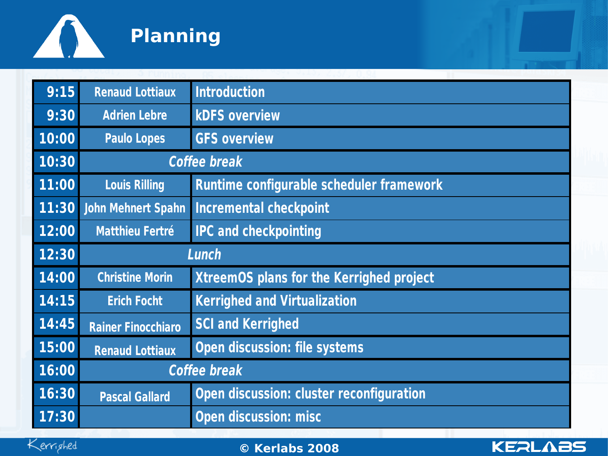

| 9:15  | <b>Renaud Lottiaux</b>    | <b>Introduction</b>                             |  |  |  |
|-------|---------------------------|-------------------------------------------------|--|--|--|
| 9:30  | <b>Adrien Lebre</b>       | <b>kDFS overview</b>                            |  |  |  |
| 10:00 | <b>Paulo Lopes</b>        | <b>GFS overview</b>                             |  |  |  |
| 10:30 | <b>Coffee break</b>       |                                                 |  |  |  |
| 11:00 | <b>Louis Rilling</b>      | <b>Runtime configurable scheduler framework</b> |  |  |  |
| 11:30 | <b>John Mehnert Spahn</b> | <b>Incremental checkpoint</b>                   |  |  |  |
| 12:00 | <b>Matthieu Fertré</b>    | <b>IPC and checkpointing</b>                    |  |  |  |
| 12:30 | Lunch                     |                                                 |  |  |  |
| 14:00 | <b>Christine Morin</b>    | <b>XtreemOS plans for the Kerrighed project</b> |  |  |  |
| 14:15 | <b>Erich Focht</b>        | <b>Kerrighed and Virtualization</b>             |  |  |  |
| 14:45 | <b>Rainer Finocchiaro</b> | <b>SCI and Kerrighed</b>                        |  |  |  |
| 15:00 | <b>Renaud Lottiaux</b>    | <b>Open discussion: file systems</b>            |  |  |  |
| 16:00 | <b>Coffee break</b>       |                                                 |  |  |  |
| 16:30 | <b>Pascal Gallard</b>     | <b>Open discussion: cluster reconfiguration</b> |  |  |  |
| 17:30 |                           | <b>Open discussion: misc</b>                    |  |  |  |



02/0**© K** 4/08 **erlabs 2008** www.kerlabs.com <sup>1</sup>

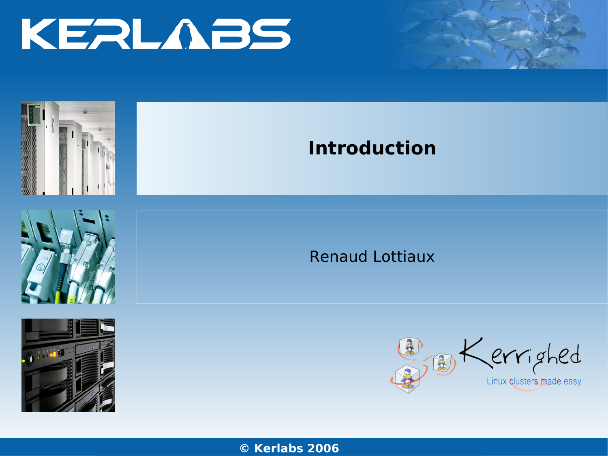







### **Introduction**

Renaud Lottiaux



**© Kerl**www**abs**.kerlabs. **2006**com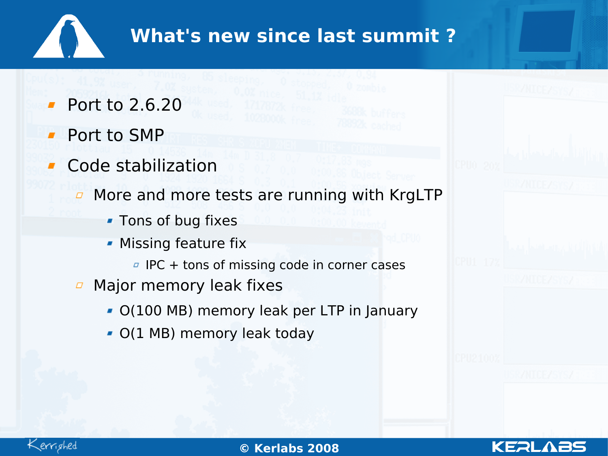## **What's new since last summit ?**

- Port to 2.6.20
- Port to SMP
- Code stabilization
	- $\Box$  More and more tests are running with KrgLTP
		- **Tons of bug fixes**
		- **Missing feature fix** 
			- $I<sup>B</sup>$  IPC + tons of missing code in corner cases
	- Major memory leak fixes  $\varpi$ 
		- O(100 MB) memory leak per LTP in January
		- O(1 MB) memory leak today

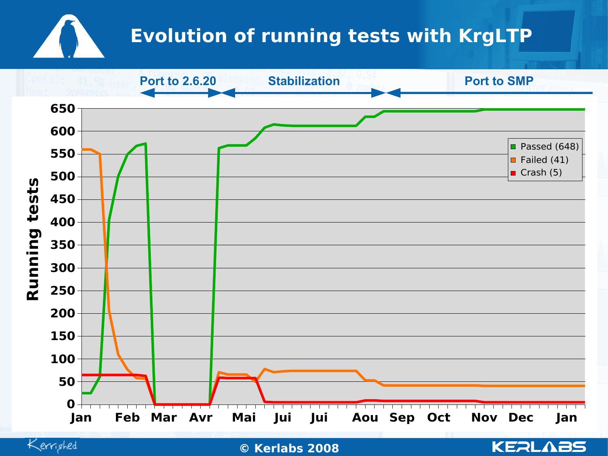# **Evolution of running tests with KrgLTP**



Kerrighed

02/0**© K** 4/08 **erlabs 2008** www.kerlabs.com <sup>4</sup>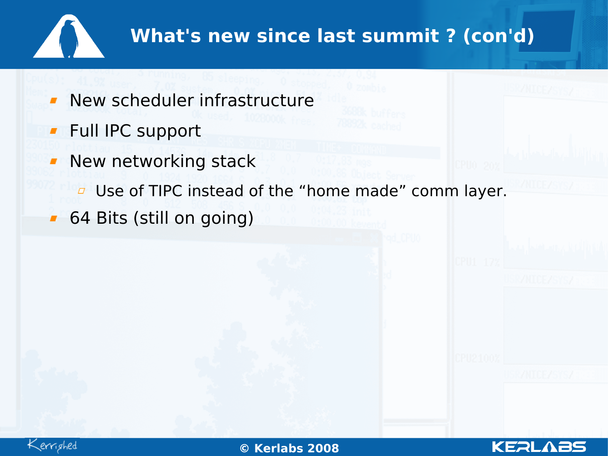

# **What's new since last summit ? (con'd)**

- New scheduler infrastructure  $\mathbf{r}$
- **Full IPC support**
- **New networking stack** 
	- **D** Use of TIPC instead of the "home made" comm layer.
- 64 Bits (still on going) $\mathbf{r}$

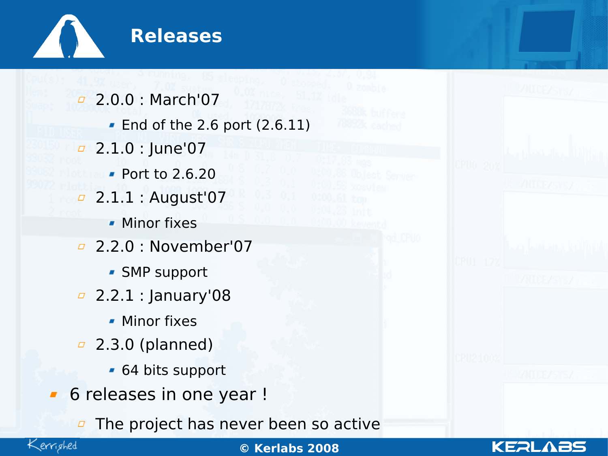

2.0.0 : March'07 End of the 2.6 port (2.6.11)  $\sqrt{2.1.0}$  : June'07 Port to 2.6.20 2.1.1 : August'07  $\varpi$ **Minor fixes** 2.2.0 : November'07 SMP support <sup>2</sup> 2.2.1 : January'08 **Minor fixes** 2.3.0 (planned)  $\varpi$ 64 bits support **6** releases in one year ! The project has never been so active $\Box$ 



02/0**© K** 4/08 **erlabs 2008** www.kerlabs.com <sup>6</sup>

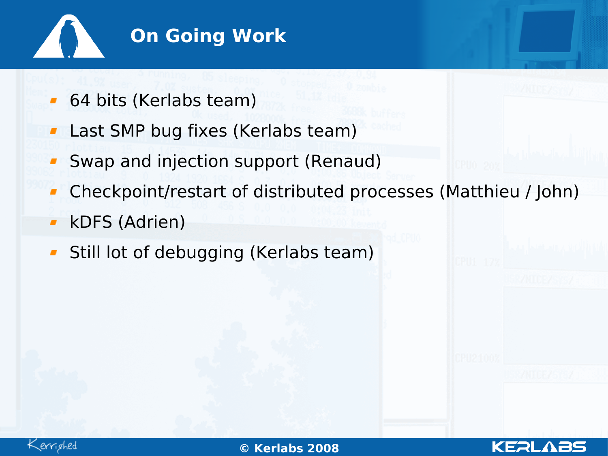

- 64 bits (Kerlabs team)
- Last SMP bug fixes (Kerlabs team)  $\blacksquare$
- Swap and injection support (Renaud)
- Checkpoint/restart of distributed processes (Matthieu / John)
- kDFS (Adrien)  $\blacksquare$
- **Still lot of debugging (Kerlabs team)**



02/0**© K** 4/08 **erlabs 2008** www.kerlabs.com <sup>7</sup>

KERL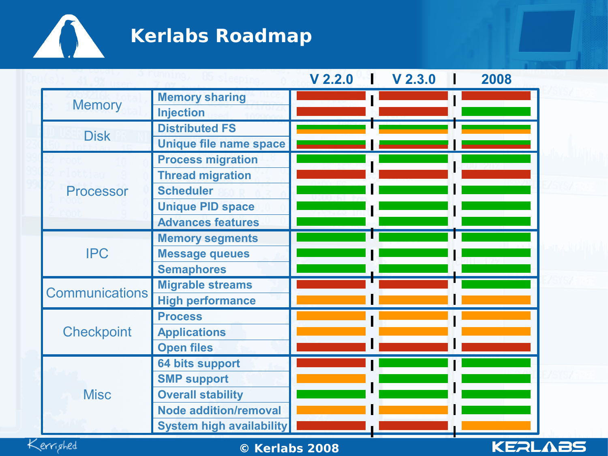

# **Kerlabs Roadmap**

|                       |                                 | $V$ 2.2.0 | V <sub>2.3.0</sub> | 2008 |  |
|-----------------------|---------------------------------|-----------|--------------------|------|--|
|                       | <b>Memory sharing</b>           |           |                    |      |  |
| <b>Memory</b>         | <b>Injection</b>                |           |                    |      |  |
|                       | <b>Distributed FS</b>           |           |                    |      |  |
| <b>Disk</b>           | Unique file name space          |           |                    |      |  |
|                       | <b>Process migration</b>        |           |                    |      |  |
|                       | <b>Thread migration</b>         |           |                    |      |  |
| <b>Processor</b>      | <b>Scheduler</b>                |           |                    |      |  |
|                       | <b>Unique PID space</b>         |           |                    |      |  |
|                       | <b>Advances features</b>        |           |                    |      |  |
|                       | <b>Memory segments</b>          |           |                    |      |  |
| <b>IPC</b>            | <b>Message queues</b>           |           |                    |      |  |
|                       | <b>Semaphores</b>               |           |                    |      |  |
| <b>Communications</b> | <b>Migrable streams</b>         |           |                    |      |  |
|                       | <b>High performance</b>         |           |                    |      |  |
|                       | <b>Process</b>                  |           |                    |      |  |
| <b>Checkpoint</b>     | <b>Applications</b>             |           |                    |      |  |
|                       | <b>Open files</b>               |           |                    |      |  |
|                       | <b>64 bits support</b>          |           |                    |      |  |
|                       | <b>SMP support</b>              |           |                    |      |  |
| <b>Misc</b>           | <b>Overall stability</b>        |           |                    |      |  |
|                       | <b>Node addition/removal</b>    |           |                    |      |  |
|                       | <b>System high availability</b> |           |                    |      |  |



02/0**© K** 4/08 **erlabs 2008** www.kerlabs.com <sup>8</sup>

**KEALABS**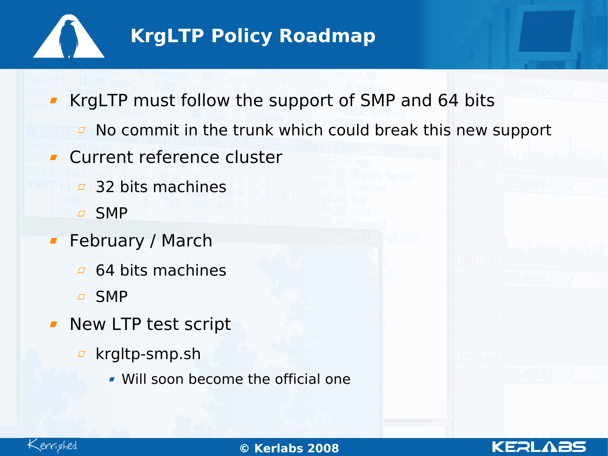

# **KrgLTP Policy Roadmap**

KrgLTP must follow the support of SMP and 64 bits

- $\overline{P}$  No commit in the trunk which could break this new support
- Current reference cluster  $\mathbf{r}$ 
	- **2** 32 bits machines
	- SMP
- **February / March** 
	- $\overline{a}$  64 bits machines
	- SMP
- **New LTP test script** 
	- □ krgltp-smp.sh
		- Will soon become the official one



02/0**© K** 4/08 **erlabs 2008** www.kerlabs.com <sup>9</sup>

KERL